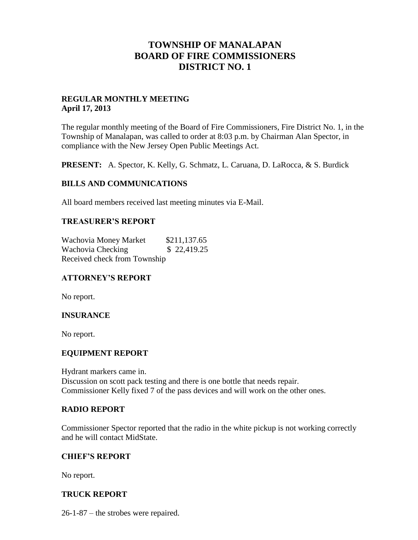# **TOWNSHIP OF MANALAPAN BOARD OF FIRE COMMISSIONERS DISTRICT NO. 1**

### **REGULAR MONTHLY MEETING April 17, 2013**

The regular monthly meeting of the Board of Fire Commissioners, Fire District No. 1, in the Township of Manalapan, was called to order at 8:03 p.m. by Chairman Alan Spector, in compliance with the New Jersey Open Public Meetings Act.

**PRESENT:** A. Spector, K. Kelly, G. Schmatz, L. Caruana, D. LaRocca, & S. Burdick

### **BILLS AND COMMUNICATIONS**

All board members received last meeting minutes via E-Mail.

## **TREASURER'S REPORT**

Wachovia Money Market \$211,137.65 Wachovia Checking  $$ 22,419.25$ Received check from Township

## **ATTORNEY'S REPORT**

No report.

## **INSURANCE**

No report.

#### **EQUIPMENT REPORT**

Hydrant markers came in. Discussion on scott pack testing and there is one bottle that needs repair. Commissioner Kelly fixed 7 of the pass devices and will work on the other ones.

#### **RADIO REPORT**

Commissioner Spector reported that the radio in the white pickup is not working correctly and he will contact MidState.

#### **CHIEF'S REPORT**

No report.

## **TRUCK REPORT**

26-1-87 – the strobes were repaired.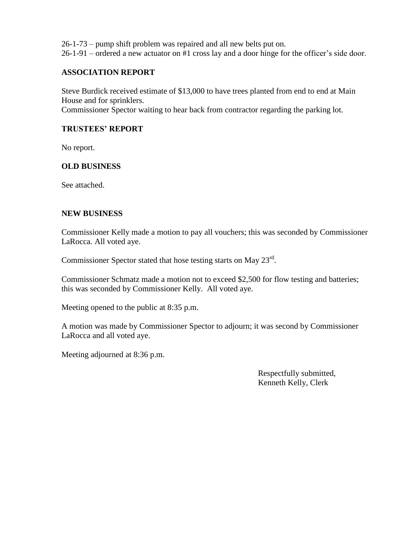26-1-73 – pump shift problem was repaired and all new belts put on.

26-1-91 – ordered a new actuator on #1 cross lay and a door hinge for the officer's side door.

### **ASSOCIATION REPORT**

Steve Burdick received estimate of \$13,000 to have trees planted from end to end at Main House and for sprinklers.

Commissioner Spector waiting to hear back from contractor regarding the parking lot.

### **TRUSTEES' REPORT**

No report.

#### **OLD BUSINESS**

See attached.

#### **NEW BUSINESS**

Commissioner Kelly made a motion to pay all vouchers; this was seconded by Commissioner LaRocca. All voted aye.

Commissioner Spector stated that hose testing starts on May 23<sup>rd</sup>.

Commissioner Schmatz made a motion not to exceed \$2,500 for flow testing and batteries; this was seconded by Commissioner Kelly. All voted aye.

Meeting opened to the public at 8:35 p.m.

A motion was made by Commissioner Spector to adjourn; it was second by Commissioner LaRocca and all voted aye.

Meeting adjourned at 8:36 p.m.

 Respectfully submitted, Kenneth Kelly, Clerk